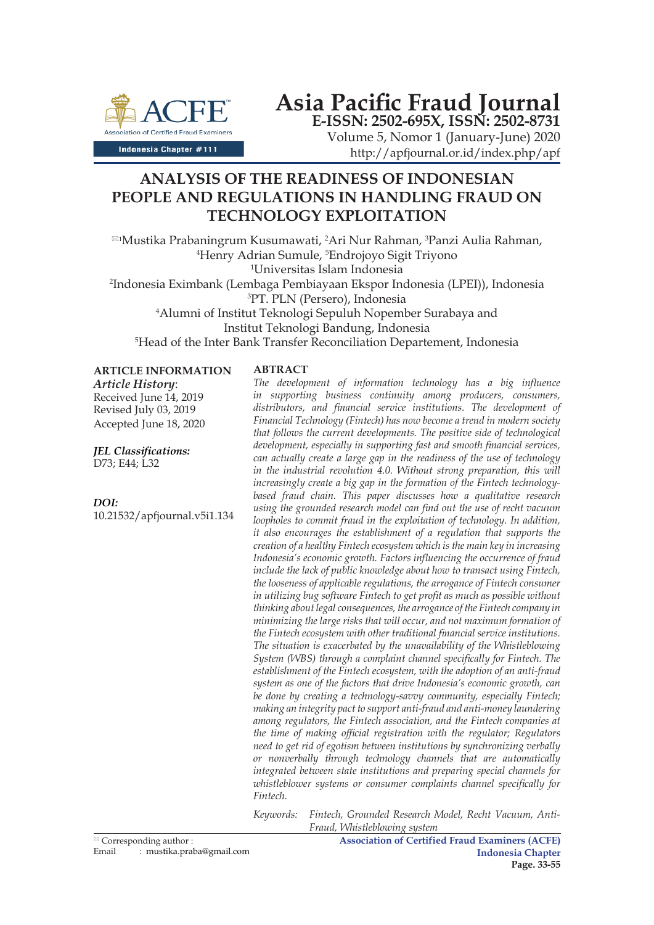

**Asia Pacific Fraud Journal E-ISSN: 2502-695X, ISSN: 2502-8731**

Volume 5, Nomor 1 (January-June) 2020 http://apfjournal.or.id/index.php/apf

# **ANALYSIS OF THE READINESS OF INDONESIAN PEOPLE AND REGULATIONS IN HANDLING FRAUD ON TECHNOLOGY EXPLOITATION**

⊠1Mustika Prabaningrum Kusumawati, <sup>2</sup>Ari Nur Rahman, <sup>3</sup>Panzi Aulia Rahman,<br>⊥<sup>4</sup>Henry Adrian Sumule <sup>5</sup>Endroiovo Sigit Trivono Henry Adrian Sumule, 5 Endrojoyo Sigit Triyono Universitas Islam Indonesia Indonesia Eximbank (Lembaga Pembiayaan Ekspor Indonesia (LPEI)), Indonesia PT. PLN (Persero), Indonesia Alumni of Institut Teknologi Sepuluh Nopember Surabaya and Institut Teknologi Bandung, Indonesia Head of the Inter Bank Transfer Reconciliation Departement, Indonesia

**ARTICLE INFORMATION**

*Article History*: Received June 14, 2019 Revised July 03, 2019 Accepted June 18, 2020

*JEL Classifications:* D73; E44; L32

## *DOI:*

10.21532/apfjournal.v5i1.134

#### **ABTRACT**

*The development of information technology has a big influence in supporting business continuity among producers, consumers, distributors, and financial service institutions. The development of Financial Technology (Fintech) has now become a trend in modern society that follows the current developments. The positive side of technological development, especially in supporting fast and smooth financial services, can actually create a large gap in the readiness of the use of technology in the industrial revolution 4.0. Without strong preparation, this will increasingly create a big gap in the formation of the Fintech technologybased fraud chain. This paper discusses how a qualitative research using the grounded research model can find out the use of recht vacuum loopholes to commit fraud in the exploitation of technology. In addition, it also encourages the establishment of a regulation that supports the creation of a healthy Fintech ecosystem which is the main key in increasing Indonesia's economic growth. Factors influencing the occurrence of fraud include the lack of public knowledge about how to transact using Fintech, the looseness of applicable regulations, the arrogance of Fintech consumer in utilizing bug software Fintech to get profit as much as possible without thinking about legal consequences, the arrogance of the Fintech company in minimizing the large risks that will occur, and not maximum formation of the Fintech ecosystem with other traditional financial service institutions. The situation is exacerbated by the unavailability of the Whistleblowing System (WBS) through a complaint channel specifically for Fintech. The establishment of the Fintech ecosystem, with the adoption of an anti-fraud system as one of the factors that drive Indonesia's economic growth, can be done by creating a technology-savvy community, especially Fintech; making an integrity pact to support anti-fraud and anti-money laundering among regulators, the Fintech association, and the Fintech companies at the time of making official registration with the regulator; Regulators need to get rid of egotism between institutions by synchronizing verbally or nonverbally through technology channels that are automatically integrated between state institutions and preparing special channels for whistleblower systems or consumer complaints channel specifically for Fintech.*

*Keywords: Fintech, Grounded Research Model, Recht Vacuum, Anti-Fraud, Whistleblowing system*

**Association of Certified Fraud Examiners (ACFE) Indonesia Chapter Page. 33-55**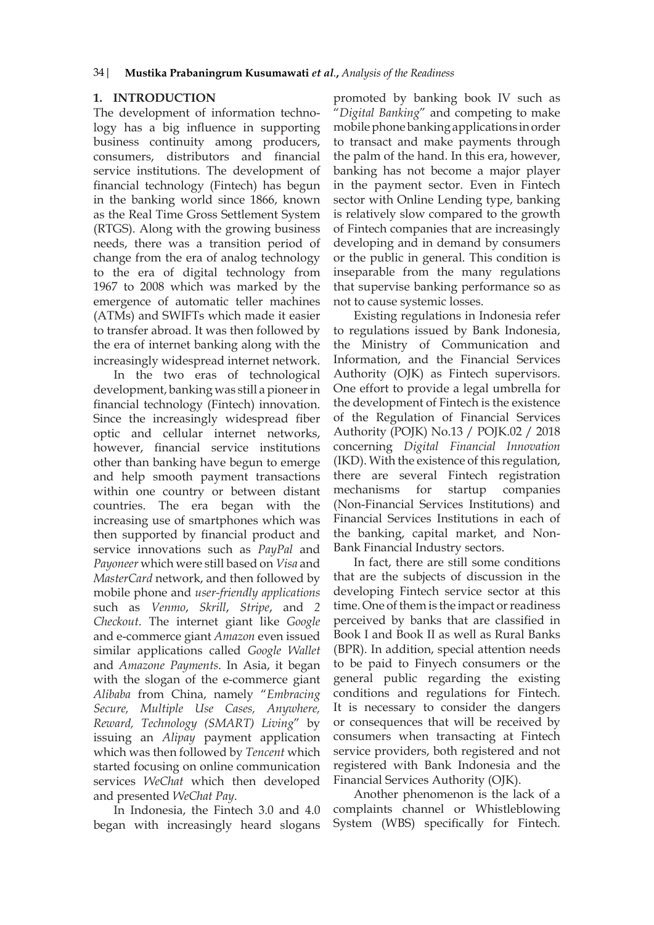# **1. INTRODUCTION**

The development of information technology has a big influence in supporting business continuity among producers, consumers, distributors and financial service institutions. The development of financial technology (Fintech) has begun in the banking world since 1866, known as the Real Time Gross Settlement System (RTGS). Along with the growing business needs, there was a transition period of change from the era of analog technology to the era of digital technology from 1967 to 2008 which was marked by the emergence of automatic teller machines (ATMs) and SWIFTs which made it easier to transfer abroad. It was then followed by the era of internet banking along with the increasingly widespread internet network.

In the two eras of technological development, banking was still a pioneer in financial technology (Fintech) innovation. Since the increasingly widespread fiber optic and cellular internet networks, however, financial service institutions other than banking have begun to emerge and help smooth payment transactions within one country or between distant countries. The era began with the increasing use of smartphones which was then supported by financial product and service innovations such as *PayPal* and *Payoneer* which were still based on *Visa* and *MasterCard* network, and then followed by mobile phone and *user-friendly applications* such as *Venmo*, *Skrill*, *Stripe*, and *2 Checkout*. The internet giant like *Google* and e-commerce giant *Amazon* even issued similar applications called *Google Wallet* and *Amazone Payments*. In Asia, it began with the slogan of the e-commerce giant *Alibaba* from China, namely "*Embracing Secure, Multiple Use Cases, Anywhere, Reward, Technology (SMART) Living*" by issuing an *Alipay* payment application which was then followed by *Tencent* which started focusing on online communication services *WeChat* which then developed and presented *WeChat Pay*.

In Indonesia, the Fintech 3.0 and 4.0 began with increasingly heard slogans promoted by banking book IV such as "*Digital Banking*" and competing to make mobile phone banking applications in order to transact and make payments through the palm of the hand. In this era, however, banking has not become a major player in the payment sector. Even in Fintech sector with Online Lending type, banking is relatively slow compared to the growth of Fintech companies that are increasingly developing and in demand by consumers or the public in general. This condition is inseparable from the many regulations that supervise banking performance so as not to cause systemic losses.

Existing regulations in Indonesia refer to regulations issued by Bank Indonesia, the Ministry of Communication and Information, and the Financial Services Authority (OJK) as Fintech supervisors. One effort to provide a legal umbrella for the development of Fintech is the existence of the Regulation of Financial Services Authority (POJK) No.13 / POJK.02 / 2018 concerning *Digital Financial Innovation* (IKD). With the existence of this regulation, there are several Fintech registration mechanisms for startup companies (Non-Financial Services Institutions) and Financial Services Institutions in each of the banking, capital market, and Non-Bank Financial Industry sectors.

In fact, there are still some conditions that are the subjects of discussion in the developing Fintech service sector at this time. One of them is the impact or readiness perceived by banks that are classified in Book I and Book II as well as Rural Banks (BPR). In addition, special attention needs to be paid to Finyech consumers or the general public regarding the existing conditions and regulations for Fintech. It is necessary to consider the dangers or consequences that will be received by consumers when transacting at Fintech service providers, both registered and not registered with Bank Indonesia and the Financial Services Authority (OJK).

Another phenomenon is the lack of a complaints channel or Whistleblowing System (WBS) specifically for Fintech.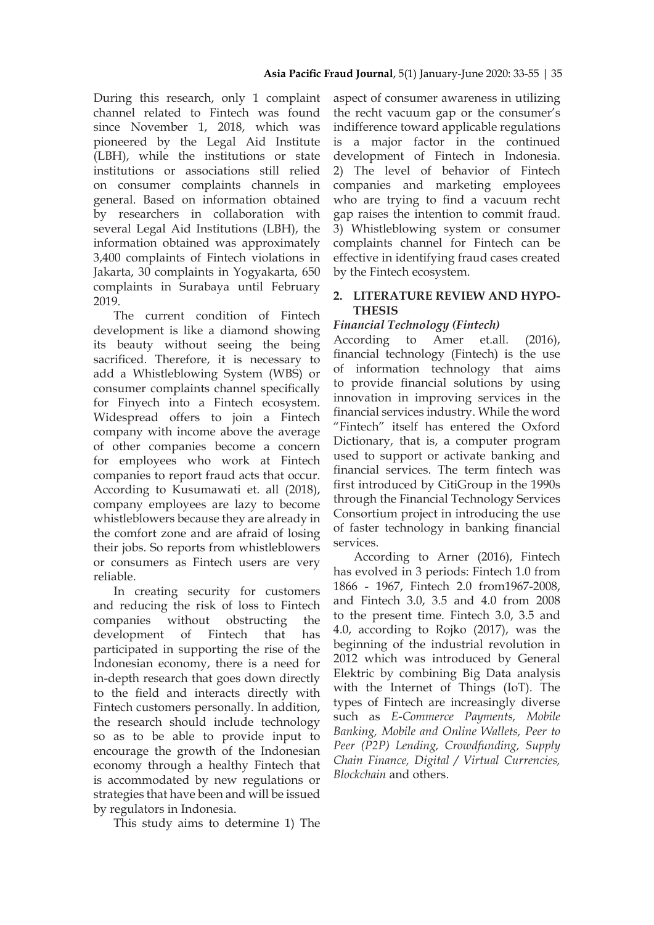During this research, only 1 complaint channel related to Fintech was found since November 1, 2018, which was pioneered by the Legal Aid Institute (LBH), while the institutions or state institutions or associations still relied on consumer complaints channels in general. Based on information obtained by researchers in collaboration with several Legal Aid Institutions (LBH), the information obtained was approximately 3,400 complaints of Fintech violations in Jakarta, 30 complaints in Yogyakarta, 650 complaints in Surabaya until February 2019.

The current condition of Fintech development is like a diamond showing its beauty without seeing the being sacrificed. Therefore, it is necessary to add a Whistleblowing System (WBS) or consumer complaints channel specifically for Finyech into a Fintech ecosystem. Widespread offers to join a Fintech company with income above the average of other companies become a concern for employees who work at Fintech companies to report fraud acts that occur. According to Kusumawati et. all (2018), company employees are lazy to become whistleblowers because they are already in the comfort zone and are afraid of losing their jobs. So reports from whistleblowers or consumers as Fintech users are very reliable.

In creating security for customers and reducing the risk of loss to Fintech companies without obstructing the development of Fintech that has participated in supporting the rise of the Indonesian economy, there is a need for in-depth research that goes down directly to the field and interacts directly with Fintech customers personally. In addition, the research should include technology so as to be able to provide input to encourage the growth of the Indonesian economy through a healthy Fintech that is accommodated by new regulations or strategies that have been and will be issued by regulators in Indonesia.

This study aims to determine 1) The

aspect of consumer awareness in utilizing the recht vacuum gap or the consumer's indifference toward applicable regulations is a major factor in the continued development of Fintech in Indonesia. 2) The level of behavior of Fintech companies and marketing employees who are trying to find a vacuum recht gap raises the intention to commit fraud. 3) Whistleblowing system or consumer complaints channel for Fintech can be effective in identifying fraud cases created by the Fintech ecosystem.

# **2. LITERATURE REVIEW AND HYPO-THESIS**

# *Financial Technology (Fintech)*

According to Amer et.all. (2016), financial technology (Fintech) is the use of information technology that aims to provide financial solutions by using innovation in improving services in the financial services industry. While the word "Fintech" itself has entered the Oxford Dictionary, that is, a computer program used to support or activate banking and financial services. The term fintech was first introduced by CitiGroup in the 1990s through the Financial Technology Services Consortium project in introducing the use of faster technology in banking financial services.

According to Arner (2016), Fintech has evolved in 3 periods: Fintech 1.0 from 1866 - 1967, Fintech 2.0 from1967-2008, and Fintech 3.0, 3.5 and 4.0 from 2008 to the present time. Fintech 3.0, 3.5 and 4.0, according to Rojko (2017), was the beginning of the industrial revolution in 2012 which was introduced by General Elektric by combining Big Data analysis with the Internet of Things (IoT). The types of Fintech are increasingly diverse such as *E-Commerce Payments, Mobile Banking, Mobile and Online Wallets, Peer to Peer (P2P) Lending, Crowdfunding, Supply Chain Finance, Digital / Virtual Currencies, Blockchain* and others.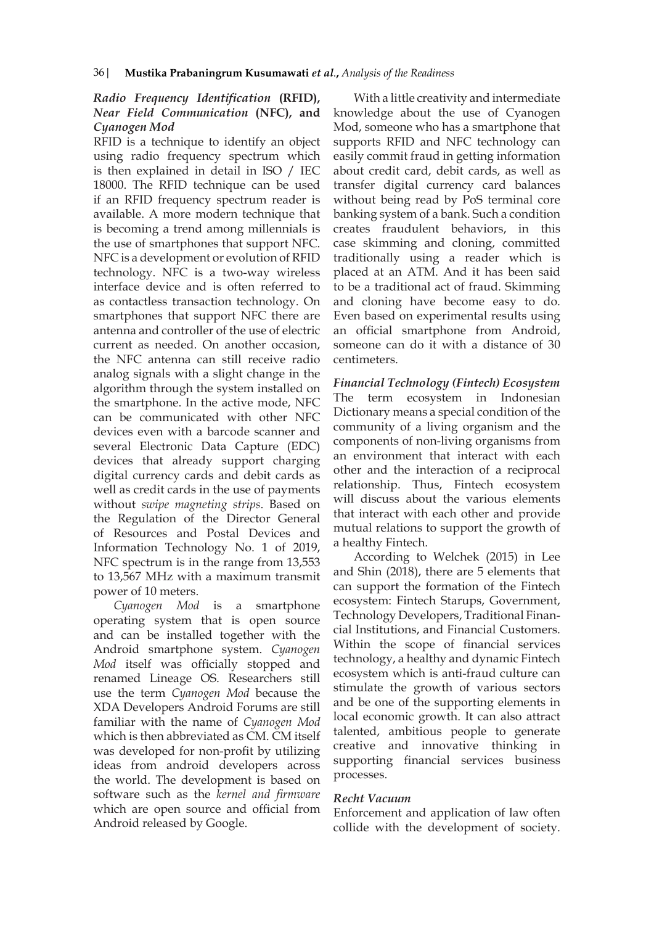# *Radio Frequency Identification* **(RFID),**  *Near Field Communication* **(NFC), and**  *Cyanogen Mod*

RFID is a technique to identify an object using radio frequency spectrum which is then explained in detail in ISO / IEC 18000. The RFID technique can be used if an RFID frequency spectrum reader is available. A more modern technique that is becoming a trend among millennials is the use of smartphones that support NFC. NFC is a development or evolution of RFID technology. NFC is a two-way wireless interface device and is often referred to as contactless transaction technology. On smartphones that support NFC there are antenna and controller of the use of electric current as needed. On another occasion, the NFC antenna can still receive radio analog signals with a slight change in the algorithm through the system installed on the smartphone. In the active mode, NFC can be communicated with other NFC devices even with a barcode scanner and several Electronic Data Capture (EDC) devices that already support charging digital currency cards and debit cards as well as credit cards in the use of payments without *swipe magneting strips*. Based on the Regulation of the Director General of Resources and Postal Devices and Information Technology No. 1 of 2019, NFC spectrum is in the range from 13,553 to 13,567 MHz with a maximum transmit power of 10 meters.

*Cyanogen Mod* is a smartphone operating system that is open source and can be installed together with the Android smartphone system. *Cyanogen Mod* itself was officially stopped and renamed Lineage OS. Researchers still use the term *Cyanogen Mod* because the XDA Developers Android Forums are still familiar with the name of *Cyanogen Mod* which is then abbreviated as CM. CM itself was developed for non-profit by utilizing ideas from android developers across the world. The development is based on software such as the *kernel and firmware* which are open source and official from Android released by Google.

With a little creativity and intermediate knowledge about the use of Cyanogen Mod, someone who has a smartphone that supports RFID and NFC technology can easily commit fraud in getting information about credit card, debit cards, as well as transfer digital currency card balances without being read by PoS terminal core banking system of a bank. Such a condition creates fraudulent behaviors, in this case skimming and cloning, committed traditionally using a reader which is placed at an ATM. And it has been said to be a traditional act of fraud. Skimming and cloning have become easy to do. Even based on experimental results using an official smartphone from Android, someone can do it with a distance of 30 centimeters.

*Financial Technology (Fintech) Ecosystem* The term ecosystem in Indonesian Dictionary means a special condition of the community of a living organism and the components of non-living organisms from an environment that interact with each other and the interaction of a reciprocal relationship. Thus, Fintech ecosystem will discuss about the various elements that interact with each other and provide mutual relations to support the growth of a healthy Fintech.

According to Welchek (2015) in Lee and Shin (2018), there are 5 elements that can support the formation of the Fintech ecosystem: Fintech Starups, Government, Technology Developers, Traditional Financial Institutions, and Financial Customers. Within the scope of financial services technology, a healthy and dynamic Fintech ecosystem which is anti-fraud culture can stimulate the growth of various sectors and be one of the supporting elements in local economic growth. It can also attract talented, ambitious people to generate creative and innovative thinking in supporting financial services business processes.

#### *Recht Vacuum*

Enforcement and application of law often collide with the development of society.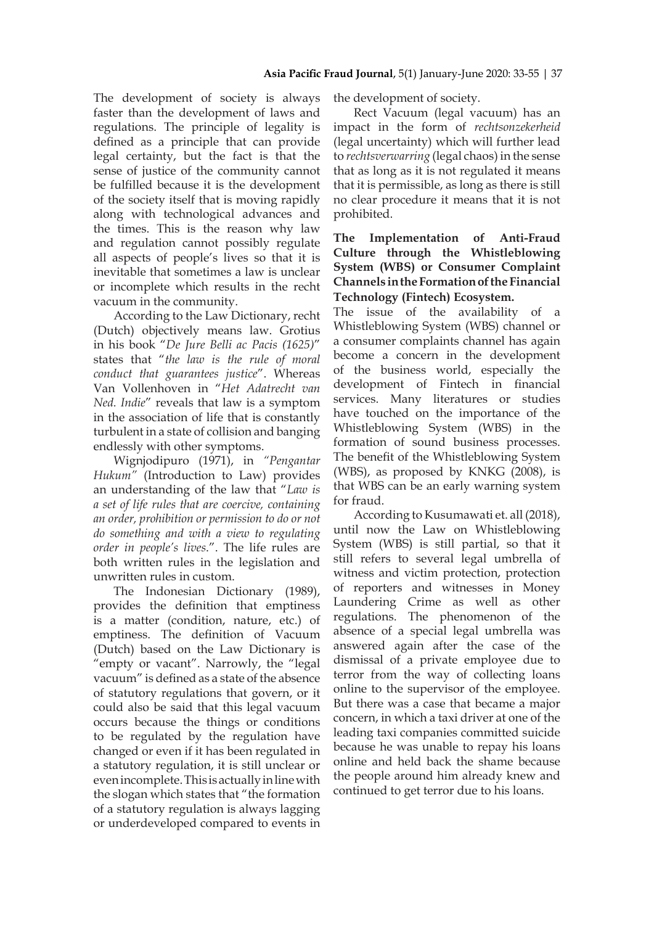The development of society is always faster than the development of laws and regulations. The principle of legality is defined as a principle that can provide legal certainty, but the fact is that the sense of justice of the community cannot be fulfilled because it is the development of the society itself that is moving rapidly along with technological advances and the times. This is the reason why law and regulation cannot possibly regulate all aspects of people's lives so that it is inevitable that sometimes a law is unclear or incomplete which results in the recht vacuum in the community.

According to the Law Dictionary, recht (Dutch) objectively means law. Grotius in his book "*De Jure Belli ac Pacis (1625)*" states that "*the law is the rule of moral conduct that guarantees justice*". Whereas Van Vollenhoven in "*Het Adatrecht van Ned. Indie*" reveals that law is a symptom in the association of life that is constantly turbulent in a state of collision and banging endlessly with other symptoms.

Wignjodipuro (1971), in *"Pengantar Hukum"* (Introduction to Law) provides an understanding of the law that "*Law is a set of life rules that are coercive, containing an order, prohibition or permission to do or not do something and with a view to regulating order in people's lives*.". The life rules are both written rules in the legislation and unwritten rules in custom.

The Indonesian Dictionary (1989), provides the definition that emptiness is a matter (condition, nature, etc.) of emptiness. The definition of Vacuum (Dutch) based on the Law Dictionary is "empty or vacant". Narrowly, the "legal vacuum" is defined as a state of the absence of statutory regulations that govern, or it could also be said that this legal vacuum occurs because the things or conditions to be regulated by the regulation have changed or even if it has been regulated in a statutory regulation, it is still unclear or even incomplete. This is actually in line with the slogan which states that "the formation of a statutory regulation is always lagging or underdeveloped compared to events in the development of society.

Rect Vacuum (legal vacuum) has an impact in the form of *rechtsonzekerheid* (legal uncertainty) which will further lead to *rechtsverwarring* (legal chaos) in the sense that as long as it is not regulated it means that it is permissible, as long as there is still no clear procedure it means that it is not prohibited.

# **The Implementation of Anti-Fraud Culture through the Whistleblowing System (WBS) or Consumer Complaint Channels in the Formation of the Financial Technology (Fintech) Ecosystem.**

The issue of the availability of a Whistleblowing System (WBS) channel or a consumer complaints channel has again become a concern in the development of the business world, especially the development of Fintech in financial services. Many literatures or studies have touched on the importance of the Whistleblowing System (WBS) in the formation of sound business processes. The benefit of the Whistleblowing System (WBS), as proposed by KNKG (2008), is that WBS can be an early warning system for fraud.

According to Kusumawati et. all (2018), until now the Law on Whistleblowing System (WBS) is still partial, so that it still refers to several legal umbrella of witness and victim protection, protection of reporters and witnesses in Money Laundering Crime as well as other regulations. The phenomenon of the absence of a special legal umbrella was answered again after the case of the dismissal of a private employee due to terror from the way of collecting loans online to the supervisor of the employee. But there was a case that became a major concern, in which a taxi driver at one of the leading taxi companies committed suicide because he was unable to repay his loans online and held back the shame because the people around him already knew and continued to get terror due to his loans.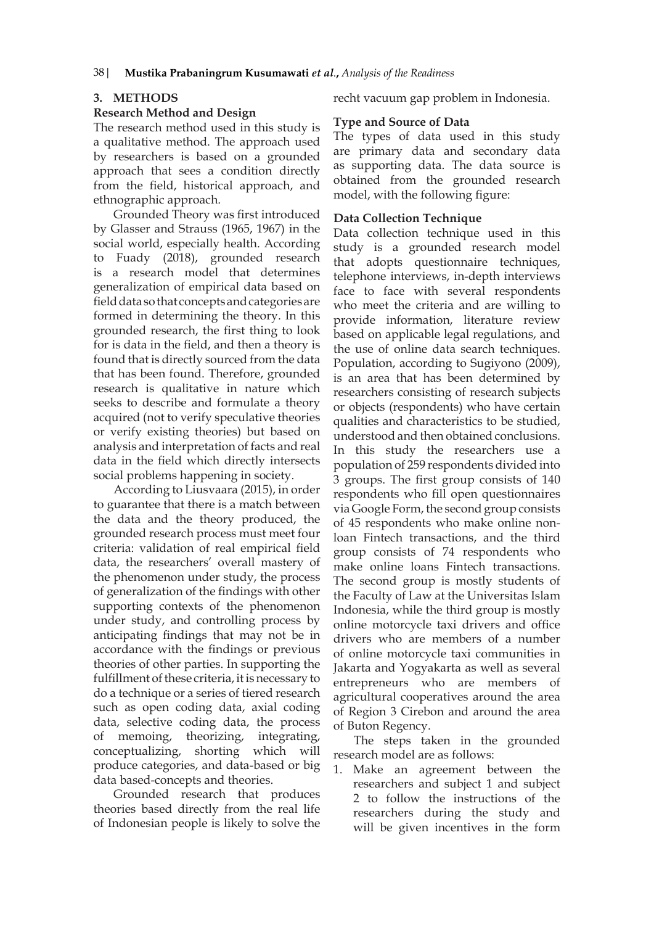## **3. METHODS**

### **Research Method and Design**

The research method used in this study is a qualitative method. The approach used by researchers is based on a grounded approach that sees a condition directly from the field, historical approach, and ethnographic approach.

Grounded Theory was first introduced by Glasser and Strauss (1965, 1967) in the social world, especially health. According to Fuady (2018), grounded research is a research model that determines generalization of empirical data based on field data so that concepts and categories are formed in determining the theory. In this grounded research, the first thing to look for is data in the field, and then a theory is found that is directly sourced from the data that has been found. Therefore, grounded research is qualitative in nature which seeks to describe and formulate a theory acquired (not to verify speculative theories or verify existing theories) but based on analysis and interpretation of facts and real data in the field which directly intersects social problems happening in society.

According to Liusvaara (2015), in order to guarantee that there is a match between the data and the theory produced, the grounded research process must meet four criteria: validation of real empirical field data, the researchers' overall mastery of the phenomenon under study, the process of generalization of the findings with other supporting contexts of the phenomenon under study, and controlling process by anticipating findings that may not be in accordance with the findings or previous theories of other parties. In supporting the fulfillment of these criteria, it is necessary to do a technique or a series of tiered research such as open coding data, axial coding data, selective coding data, the process of memoing, theorizing, integrating, conceptualizing, shorting which will produce categories, and data-based or big data based-concepts and theories.

Grounded research that produces theories based directly from the real life of Indonesian people is likely to solve the

recht vacuum gap problem in Indonesia.

# **Type and Source of Data**

The types of data used in this study are primary data and secondary data as supporting data. The data source is obtained from the grounded research model, with the following figure:

## **Data Collection Technique**

Data collection technique used in this study is a grounded research model that adopts questionnaire techniques, telephone interviews, in-depth interviews face to face with several respondents who meet the criteria and are willing to provide information, literature review based on applicable legal regulations, and the use of online data search techniques. Population, according to Sugiyono (2009), is an area that has been determined by researchers consisting of research subjects or objects (respondents) who have certain qualities and characteristics to be studied, understood and then obtained conclusions. In this study the researchers use a population of 259 respondents divided into 3 groups. The first group consists of 140 respondents who fill open questionnaires via Google Form, the second group consists of 45 respondents who make online nonloan Fintech transactions, and the third group consists of 74 respondents who make online loans Fintech transactions. The second group is mostly students of the Faculty of Law at the Universitas Islam Indonesia, while the third group is mostly online motorcycle taxi drivers and office drivers who are members of a number of online motorcycle taxi communities in Jakarta and Yogyakarta as well as several entrepreneurs who are members of agricultural cooperatives around the area of Region 3 Cirebon and around the area of Buton Regency.

The steps taken in the grounded research model are as follows:

1. Make an agreement between the researchers and subject 1 and subject 2 to follow the instructions of the researchers during the study and will be given incentives in the form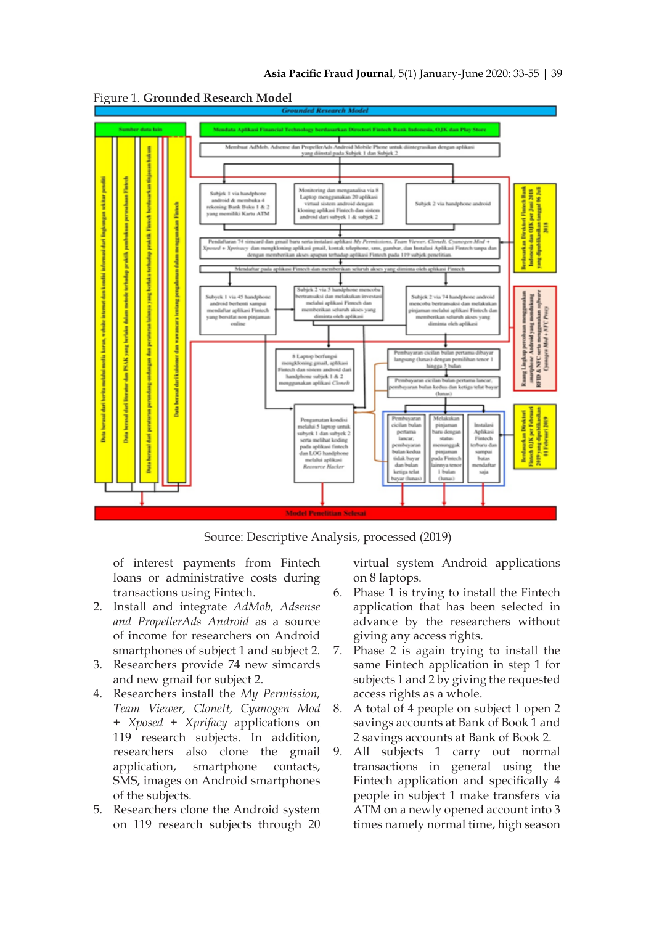

Figure 1. **Grounded Research Model**

Source: Descriptive Analysis, processed (2019)

of interest payments from Fintech loans or administrative costs during transactions using Fintech.

- 2. Install and integrate *AdMob, Adsense and PropellerAds Android* as a source of income for researchers on Android smartphones of subject 1 and subject 2.
- 3. Researchers provide 74 new simcards and new gmail for subject 2.
- 4. Researchers install the *My Permission, Team Viewer, CloneIt, Cyanogen Mod + Xposed + Xprifacy* applications on 119 research subjects. In addition, researchers also clone the gmail application, smartphone contacts, SMS, images on Android smartphones of the subjects.
- 5. Researchers clone the Android system on 119 research subjects through 20

virtual system Android applications on 8 laptops.

- 6. Phase 1 is trying to install the Fintech application that has been selected in advance by the researchers without giving any access rights.
- 7. Phase 2 is again trying to install the same Fintech application in step 1 for subjects 1 and 2 by giving the requested access rights as a whole.
- 8. A total of 4 people on subject 1 open 2 savings accounts at Bank of Book 1 and 2 savings accounts at Bank of Book 2.
- 9. All subjects 1 carry out normal transactions in general using the Fintech application and specifically 4 people in subject 1 make transfers via ATM on a newly opened account into 3 times namely normal time, high season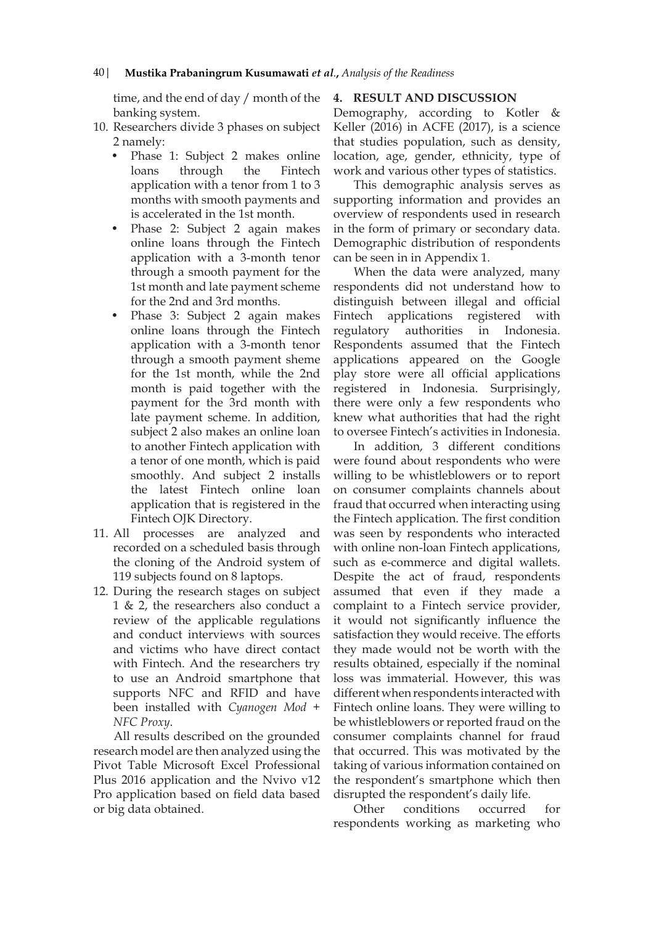time, and the end of day / month of the banking system.

- 10. Researchers divide 3 phases on subject 2 namely:
	- Phase 1: Subject 2 makes online loans through the Fintech application with a tenor from 1 to 3 months with smooth payments and is accelerated in the 1st month.
	- Phase 2: Subject 2 again makes online loans through the Fintech application with a 3-month tenor through a smooth payment for the 1st month and late payment scheme for the 2nd and 3rd months.
	- Phase 3: Subject 2 again makes online loans through the Fintech application with a 3-month tenor through a smooth payment sheme for the 1st month, while the 2nd month is paid together with the payment for the 3rd month with late payment scheme. In addition, subject 2 also makes an online loan to another Fintech application with a tenor of one month, which is paid smoothly. And subject 2 installs the latest Fintech online loan application that is registered in the Fintech OJK Directory.
- 11. All processes are analyzed and recorded on a scheduled basis through the cloning of the Android system of 119 subjects found on 8 laptops.
- 12. During the research stages on subject 1 & 2, the researchers also conduct a review of the applicable regulations and conduct interviews with sources and victims who have direct contact with Fintech. And the researchers try to use an Android smartphone that supports NFC and RFID and have been installed with *Cyanogen Mod + NFC Proxy*.

All results described on the grounded research model are then analyzed using the Pivot Table Microsoft Excel Professional Plus 2016 application and the Nvivo v12 Pro application based on field data based or big data obtained.

## **4. RESULT AND DISCUSSION**

Demography, according to Kotler & Keller (2016) in ACFE (2017), is a science that studies population, such as density, location, age, gender, ethnicity, type of work and various other types of statistics.

This demographic analysis serves as supporting information and provides an overview of respondents used in research in the form of primary or secondary data. Demographic distribution of respondents can be seen in in Appendix 1.

When the data were analyzed, many respondents did not understand how to distinguish between illegal and official Fintech applications registered with regulatory authorities in Indonesia. Respondents assumed that the Fintech applications appeared on the Google play store were all official applications registered in Indonesia. Surprisingly, there were only a few respondents who knew what authorities that had the right to oversee Fintech's activities in Indonesia.

In addition, 3 different conditions were found about respondents who were willing to be whistleblowers or to report on consumer complaints channels about fraud that occurred when interacting using the Fintech application. The first condition was seen by respondents who interacted with online non-loan Fintech applications, such as e-commerce and digital wallets. Despite the act of fraud, respondents assumed that even if they made a complaint to a Fintech service provider, it would not significantly influence the satisfaction they would receive. The efforts they made would not be worth with the results obtained, especially if the nominal loss was immaterial. However, this was different when respondents interacted with Fintech online loans. They were willing to be whistleblowers or reported fraud on the consumer complaints channel for fraud that occurred. This was motivated by the taking of various information contained on the respondent's smartphone which then disrupted the respondent's daily life.

Other conditions occurred for respondents working as marketing who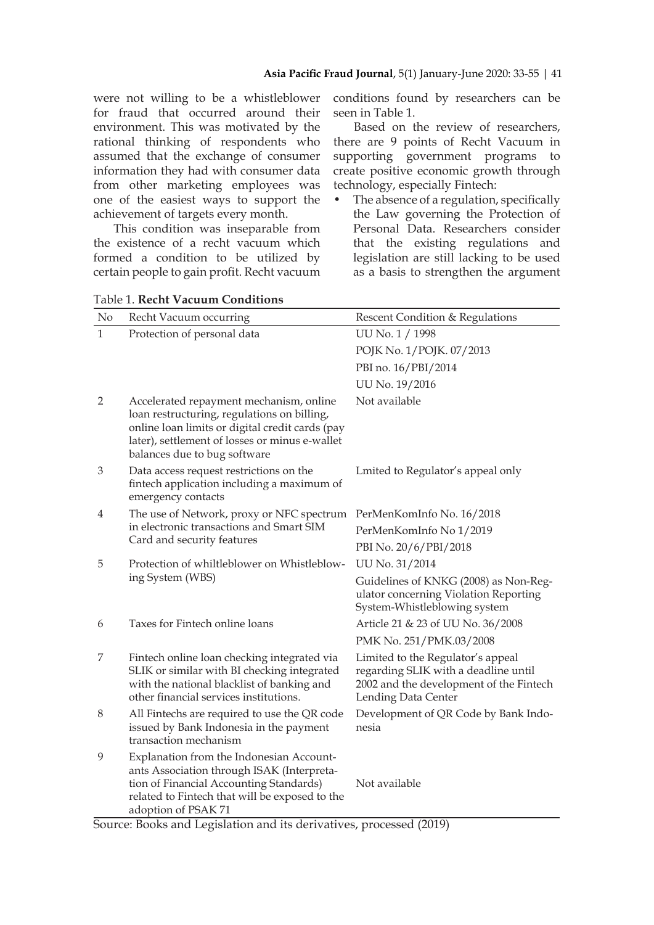were not willing to be a whistleblower for fraud that occurred around their environment. This was motivated by the rational thinking of respondents who assumed that the exchange of consumer information they had with consumer data from other marketing employees was one of the easiest ways to support the achievement of targets every month.

This condition was inseparable from the existence of a recht vacuum which formed a condition to be utilized by certain people to gain profit. Recht vacuum conditions found by researchers can be seen in Table 1.

Based on the review of researchers, there are 9 points of Recht Vacuum in supporting government programs to create positive economic growth through technology, especially Fintech:

• The absence of a regulation, specifically the Law governing the Protection of Personal Data. Researchers consider that the existing regulations and legislation are still lacking to be used as a basis to strengthen the argument

| No             | Recht Vacuum occurring                                                                                                                                                                                                      | Rescent Condition & Regulations                                                                                                             |  |  |  |
|----------------|-----------------------------------------------------------------------------------------------------------------------------------------------------------------------------------------------------------------------------|---------------------------------------------------------------------------------------------------------------------------------------------|--|--|--|
| $\mathbf{1}$   | Protection of personal data                                                                                                                                                                                                 | UU No. 1 / 1998                                                                                                                             |  |  |  |
|                |                                                                                                                                                                                                                             | POJK No. 1/POJK. 07/2013                                                                                                                    |  |  |  |
|                |                                                                                                                                                                                                                             | PBI no. 16/PBI/2014                                                                                                                         |  |  |  |
|                |                                                                                                                                                                                                                             | UU No. 19/2016                                                                                                                              |  |  |  |
| $\overline{2}$ | Accelerated repayment mechanism, online<br>loan restructuring, regulations on billing,<br>online loan limits or digital credit cards (pay<br>later), settlement of losses or minus e-wallet<br>balances due to bug software | Not available                                                                                                                               |  |  |  |
| 3              | Data access request restrictions on the<br>fintech application including a maximum of<br>emergency contacts                                                                                                                 | Lmited to Regulator's appeal only                                                                                                           |  |  |  |
| 4              | The use of Network, proxy or NFC spectrum<br>in electronic transactions and Smart SIM<br>Card and security features                                                                                                         | PerMenKomInfo No. 16/2018                                                                                                                   |  |  |  |
|                |                                                                                                                                                                                                                             | PerMenKomInfo No 1/2019                                                                                                                     |  |  |  |
|                |                                                                                                                                                                                                                             | PBI No. 20/6/PBI/2018                                                                                                                       |  |  |  |
| 5              | Protection of whiltleblower on Whistleblow-                                                                                                                                                                                 | UU No. 31/2014                                                                                                                              |  |  |  |
|                | ing System (WBS)                                                                                                                                                                                                            | Guidelines of KNKG (2008) as Non-Reg-<br>ulator concerning Violation Reporting<br>System-Whistleblowing system                              |  |  |  |
| 6              | Taxes for Fintech online loans                                                                                                                                                                                              | Article 21 & 23 of UU No. 36/2008                                                                                                           |  |  |  |
|                |                                                                                                                                                                                                                             | PMK No. 251/PMK.03/2008                                                                                                                     |  |  |  |
| 7              | Fintech online loan checking integrated via<br>SLIK or similar with BI checking integrated<br>with the national blacklist of banking and<br>other financial services institutions.                                          | Limited to the Regulator's appeal<br>regarding SLIK with a deadline until<br>2002 and the development of the Fintech<br>Lending Data Center |  |  |  |
| $8\,$          | All Fintechs are required to use the QR code<br>issued by Bank Indonesia in the payment<br>transaction mechanism                                                                                                            | Development of QR Code by Bank Indo-<br>nesia                                                                                               |  |  |  |
| 9              | Explanation from the Indonesian Account-<br>ants Association through ISAK (Interpreta-<br>tion of Financial Accounting Standards)<br>related to Fintech that will be exposed to the<br>adoption of PSAK 71                  | Not available                                                                                                                               |  |  |  |

Table 1. **Recht Vacuum Conditions**

Source: Books and Legislation and its derivatives, processed (2019)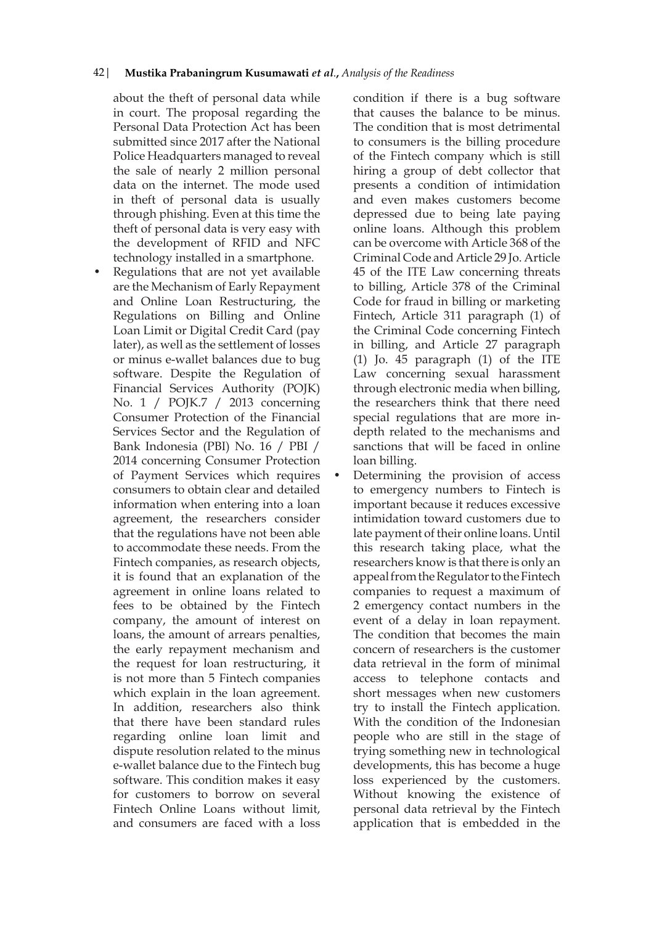about the theft of personal data while in court. The proposal regarding the Personal Data Protection Act has been submitted since 2017 after the National Police Headquarters managed to reveal the sale of nearly 2 million personal data on the internet. The mode used in theft of personal data is usually through phishing. Even at this time the theft of personal data is very easy with the development of RFID and NFC technology installed in a smartphone.

• Regulations that are not yet available are the Mechanism of Early Repayment and Online Loan Restructuring, the Regulations on Billing and Online Loan Limit or Digital Credit Card (pay later), as well as the settlement of losses or minus e-wallet balances due to bug software. Despite the Regulation of Financial Services Authority (POJK) No. 1 / POJK.7 / 2013 concerning Consumer Protection of the Financial Services Sector and the Regulation of Bank Indonesia (PBI) No. 16 / PBI / 2014 concerning Consumer Protection of Payment Services which requires consumers to obtain clear and detailed information when entering into a loan agreement, the researchers consider that the regulations have not been able to accommodate these needs. From the Fintech companies, as research objects, it is found that an explanation of the agreement in online loans related to fees to be obtained by the Fintech company, the amount of interest on loans, the amount of arrears penalties, the early repayment mechanism and the request for loan restructuring, it is not more than 5 Fintech companies which explain in the loan agreement. In addition, researchers also think that there have been standard rules regarding online loan limit and dispute resolution related to the minus e-wallet balance due to the Fintech bug software. This condition makes it easy for customers to borrow on several Fintech Online Loans without limit, and consumers are faced with a loss

condition if there is a bug software that causes the balance to be minus. The condition that is most detrimental to consumers is the billing procedure of the Fintech company which is still hiring a group of debt collector that presents a condition of intimidation and even makes customers become depressed due to being late paying online loans. Although this problem can be overcome with Article 368 of the Criminal Code and Article 29 Jo. Article 45 of the ITE Law concerning threats to billing, Article 378 of the Criminal Code for fraud in billing or marketing Fintech, Article 311 paragraph (1) of the Criminal Code concerning Fintech in billing, and Article 27 paragraph (1) Jo. 45 paragraph (1) of the ITE Law concerning sexual harassment through electronic media when billing, the researchers think that there need special regulations that are more indepth related to the mechanisms and sanctions that will be faced in online loan billing.

Determining the provision of access to emergency numbers to Fintech is important because it reduces excessive intimidation toward customers due to late payment of their online loans. Until this research taking place, what the researchers know is that there is only an appeal from the Regulator to the Fintech companies to request a maximum of 2 emergency contact numbers in the event of a delay in loan repayment. The condition that becomes the main concern of researchers is the customer data retrieval in the form of minimal access to telephone contacts and short messages when new customers try to install the Fintech application. With the condition of the Indonesian people who are still in the stage of trying something new in technological developments, this has become a huge loss experienced by the customers. Without knowing the existence of personal data retrieval by the Fintech application that is embedded in the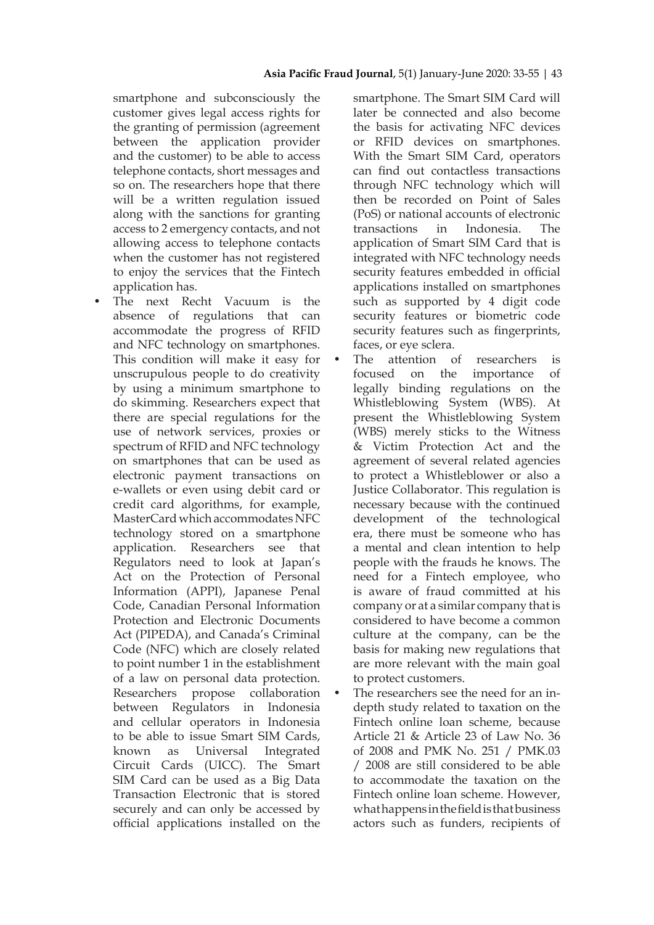smartphone and subconsciously the customer gives legal access rights for the granting of permission (agreement between the application provider and the customer) to be able to access telephone contacts, short messages and so on. The researchers hope that there will be a written regulation issued along with the sanctions for granting access to 2 emergency contacts, and not allowing access to telephone contacts when the customer has not registered to enjoy the services that the Fintech application has.

The next Recht Vacuum is the absence of regulations that can accommodate the progress of RFID and NFC technology on smartphones. This condition will make it easy for unscrupulous people to do creativity by using a minimum smartphone to do skimming. Researchers expect that there are special regulations for the use of network services, proxies or spectrum of RFID and NFC technology on smartphones that can be used as electronic payment transactions on e-wallets or even using debit card or credit card algorithms, for example, MasterCard which accommodates NFC technology stored on a smartphone application. Researchers see that Regulators need to look at Japan's Act on the Protection of Personal Information (APPI), Japanese Penal Code, Canadian Personal Information Protection and Electronic Documents Act (PIPEDA), and Canada's Criminal Code (NFC) which are closely related to point number 1 in the establishment of a law on personal data protection. Researchers propose collaboration between Regulators in Indonesia and cellular operators in Indonesia to be able to issue Smart SIM Cards, known as Universal Integrated Circuit Cards (UICC). The Smart SIM Card can be used as a Big Data Transaction Electronic that is stored securely and can only be accessed by official applications installed on the

smartphone. The Smart SIM Card will later be connected and also become the basis for activating NFC devices or RFID devices on smartphones. With the Smart SIM Card, operators can find out contactless transactions through NFC technology which will then be recorded on Point of Sales (PoS) or national accounts of electronic transactions in Indonesia. The application of Smart SIM Card that is integrated with NFC technology needs security features embedded in official applications installed on smartphones such as supported by 4 digit code security features or biometric code security features such as fingerprints, faces, or eye sclera.

- The attention of researchers is focused on the importance of legally binding regulations on the Whistleblowing System (WBS). At present the Whistleblowing System (WBS) merely sticks to the Witness & Victim Protection Act and the agreement of several related agencies to protect a Whistleblower or also a Justice Collaborator. This regulation is necessary because with the continued development of the technological era, there must be someone who has a mental and clean intention to help people with the frauds he knows. The need for a Fintech employee, who is aware of fraud committed at his company or at a similar company that is considered to have become a common culture at the company, can be the basis for making new regulations that are more relevant with the main goal to protect customers.
- The researchers see the need for an indepth study related to taxation on the Fintech online loan scheme, because Article 21 & Article 23 of Law No. 36 of 2008 and PMK No. 251 / PMK.03 / 2008 are still considered to be able to accommodate the taxation on the Fintech online loan scheme. However, what happens in the field is that business actors such as funders, recipients of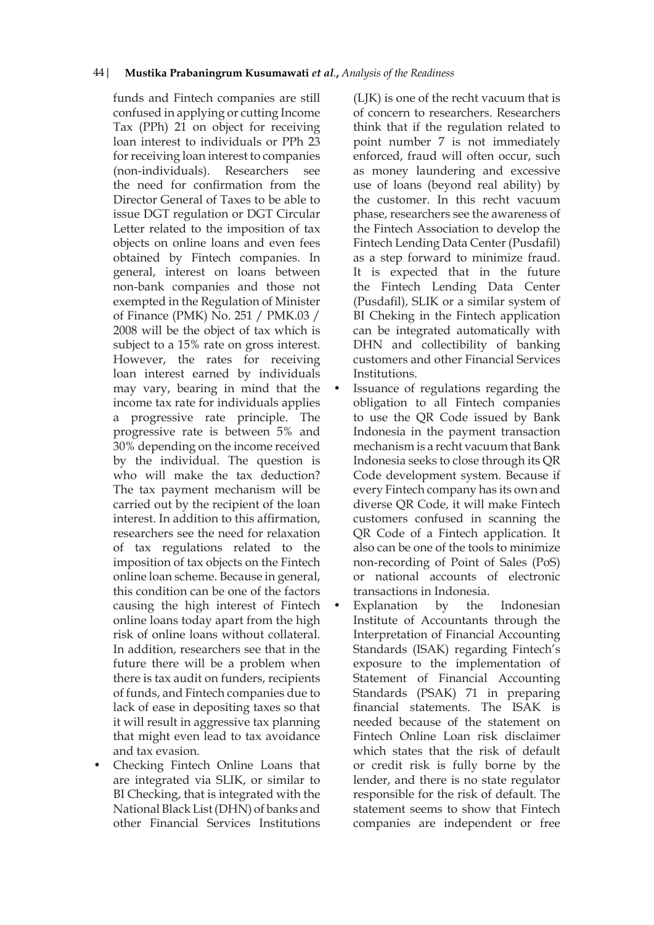funds and Fintech companies are still confused in applying or cutting Income Tax (PPh) 21 on object for receiving loan interest to individuals or PPh 23 for receiving loan interest to companies (non-individuals). Researchers see the need for confirmation from the Director General of Taxes to be able to issue DGT regulation or DGT Circular Letter related to the imposition of tax objects on online loans and even fees obtained by Fintech companies. In general, interest on loans between non-bank companies and those not exempted in the Regulation of Minister of Finance (PMK) No. 251 / PMK.03 / 2008 will be the object of tax which is subject to a 15% rate on gross interest. However, the rates for receiving loan interest earned by individuals may vary, bearing in mind that the income tax rate for individuals applies a progressive rate principle. The progressive rate is between 5% and 30% depending on the income received by the individual. The question is who will make the tax deduction? The tax payment mechanism will be carried out by the recipient of the loan interest. In addition to this affirmation, researchers see the need for relaxation of tax regulations related to the imposition of tax objects on the Fintech online loan scheme. Because in general, this condition can be one of the factors causing the high interest of Fintech online loans today apart from the high risk of online loans without collateral. In addition, researchers see that in the future there will be a problem when there is tax audit on funders, recipients of funds, and Fintech companies due to lack of ease in depositing taxes so that it will result in aggressive tax planning that might even lead to tax avoidance and tax evasion.

• Checking Fintech Online Loans that are integrated via SLIK, or similar to BI Checking, that is integrated with the National Black List (DHN) of banks and other Financial Services Institutions

(LJK) is one of the recht vacuum that is of concern to researchers. Researchers think that if the regulation related to point number 7 is not immediately enforced, fraud will often occur, such as money laundering and excessive use of loans (beyond real ability) by the customer. In this recht vacuum phase, researchers see the awareness of the Fintech Association to develop the Fintech Lending Data Center (Pusdafil) as a step forward to minimize fraud. It is expected that in the future the Fintech Lending Data Center (Pusdafil), SLIK or a similar system of BI Cheking in the Fintech application can be integrated automatically with DHN and collectibility of banking customers and other Financial Services Institutions.

- Issuance of regulations regarding the obligation to all Fintech companies to use the QR Code issued by Bank Indonesia in the payment transaction mechanism is a recht vacuum that Bank Indonesia seeks to close through its QR Code development system. Because if every Fintech company has its own and diverse QR Code, it will make Fintech customers confused in scanning the QR Code of a Fintech application. It also can be one of the tools to minimize non-recording of Point of Sales (PoS) or national accounts of electronic transactions in Indonesia.
	- Explanation by the Indonesian Institute of Accountants through the Interpretation of Financial Accounting Standards (ISAK) regarding Fintech's exposure to the implementation of Statement of Financial Accounting Standards (PSAK) 71 in preparing financial statements. The ISAK is needed because of the statement on Fintech Online Loan risk disclaimer which states that the risk of default or credit risk is fully borne by the lender, and there is no state regulator responsible for the risk of default. The statement seems to show that Fintech companies are independent or free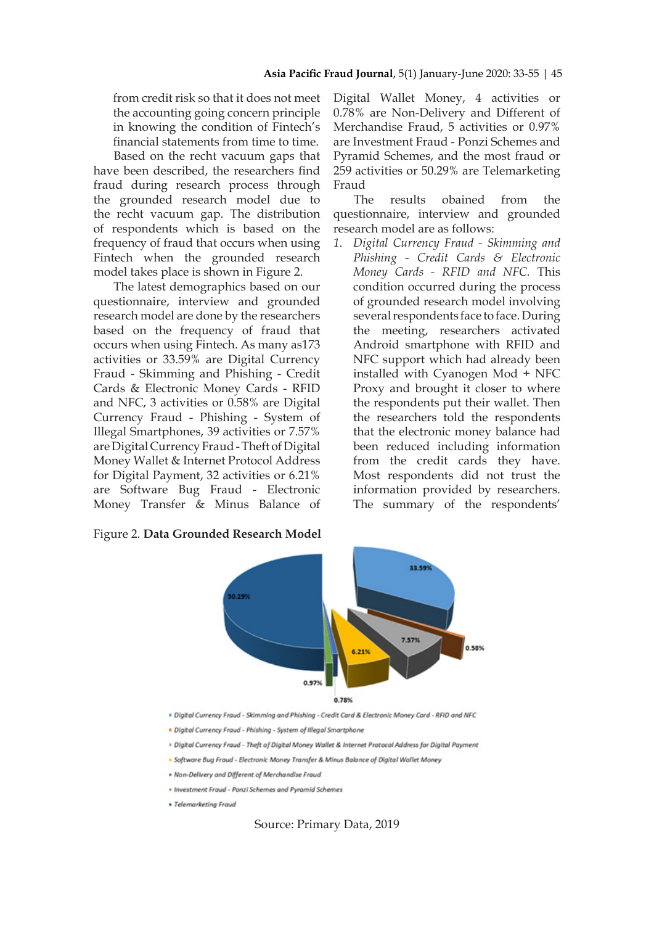from credit risk so that it does not meet the accounting going concern principle in knowing the condition of Fintech's financial statements from time to time.

Based on the recht vacuum gaps that have been described, the researchers find fraud during research process through the grounded research model due to the recht vacuum gap. The distribution of respondents which is based on the frequency of fraud that occurs when using Fintech when the grounded research model takes place is shown in Figure 2.

The latest demographics based on our questionnaire, interview and grounded research model are done by the researchers based on the frequency of fraud that occurs when using Fintech. As many as173 activities or 33.59% are Digital Currency Fraud - Skimming and Phishing - Credit Cards & Electronic Money Cards - RFID and NFC, 3 activities or 0.58% are Digital Currency Fraud - Phishing - System of Illegal Smartphones, 39 activities or 7.57% are Digital Currency Fraud - Theft of Digital Money Wallet & Internet Protocol Address for Digital Payment, 32 activities or 6.21% are Software Bug Fraud - Electronic Money Transfer & Minus Balance of

Figure 2. **Data Grounded Research Model**

Digital Wallet Money, 4 activities or 0.78% are Non-Delivery and Different of Merchandise Fraud, 5 activities or 0.97% are Investment Fraud - Ponzi Schemes and Pyramid Schemes, and the most fraud or 259 activities or 50.29% are Telemarketing Fraud

The results obained from the questionnaire, interview and grounded research model are as follows:

*1. Digital Currency Fraud - Skimming and Phishing - Credit Cards & Electronic Money Cards - RFID and NFC.* This condition occurred during the process of grounded research model involving several respondents face to face. During the meeting, researchers activated Android smartphone with RFID and NFC support which had already been installed with Cyanogen Mod + NFC Proxy and brought it closer to where the respondents put their wallet. Then the researchers told the respondents that the electronic money balance had been reduced including information from the credit cards they have. Most respondents did not trust the information provided by researchers. The summary of the respondents'



. Digital Currency Fraud - Skimming and Phishing - Credit Card & Electronic Money Card - RFID and NFC

- <sup>=</sup> Digital Currency Fraud Theft of Digital Money Wallet & Internet Protocol Address for Digital Payment
- · Software Bug Fraud Electronic Money Transfer & Minus Balance of Digital Wallet Money
- . Non-Delivery and Different of Merchandise Fraud
- · Investment Fraud Ponzi Schemes and Pyramid Schemes
- · Telemarketing Fraud

Source: Primary Data, 2019

Digital Currency Fraud - Phishing - System of Illegal Smartphone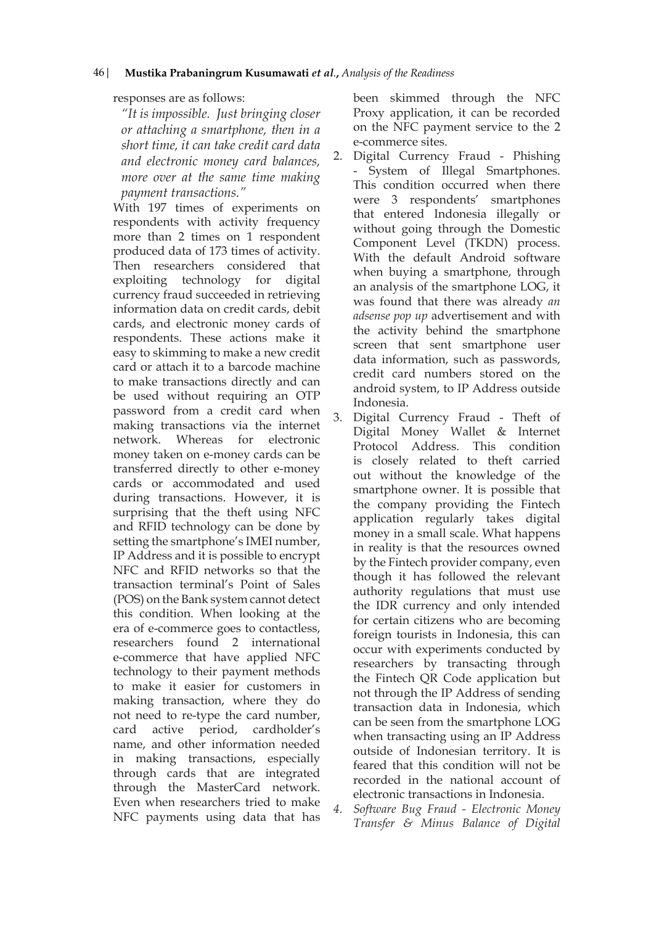## responses are as follows:

*"It is impossible. Just bringing closer or attaching a smartphone, then in a short time, it can take credit card data and electronic money card balances, more over at the same time making payment transactions."*

With 197 times of experiments on respondents with activity frequency more than 2 times on 1 respondent produced data of 173 times of activity. Then researchers considered that exploiting technology for digital currency fraud succeeded in retrieving information data on credit cards, debit cards, and electronic money cards of respondents. These actions make it easy to skimming to make a new credit card or attach it to a barcode machine to make transactions directly and can be used without requiring an OTP password from a credit card when making transactions via the internet network. Whereas for electronic money taken on e-money cards can be transferred directly to other e-money cards or accommodated and used during transactions. However, it is surprising that the theft using NFC and RFID technology can be done by setting the smartphone's IMEI number, IP Address and it is possible to encrypt NFC and RFID networks so that the transaction terminal's Point of Sales (POS) on the Bank system cannot detect this condition. When looking at the era of e-commerce goes to contactless, researchers found 2 international e-commerce that have applied NFC technology to their payment methods to make it easier for customers in making transaction, where they do not need to re-type the card number, card active period, cardholder's name, and other information needed in making transactions, especially through cards that are integrated through the MasterCard network. Even when researchers tried to make NFC payments using data that has

been skimmed through the NFC Proxy application, it can be recorded on the NFC payment service to the 2 e-commerce sites.

- 2. Digital Currency Fraud Phishing - System of Illegal Smartphones. This condition occurred when there were 3 respondents' smartphones that entered Indonesia illegally or without going through the Domestic Component Level (TKDN) process. With the default Android software when buying a smartphone, through an analysis of the smartphone LOG, it was found that there was already *an adsense pop up* advertisement and with the activity behind the smartphone screen that sent smartphone user data information, such as passwords, credit card numbers stored on the android system, to IP Address outside Indonesia.
- 3. Digital Currency Fraud Theft of Digital Money Wallet & Internet Protocol Address. This condition is closely related to theft carried out without the knowledge of the smartphone owner. It is possible that the company providing the Fintech application regularly takes digital money in a small scale. What happens in reality is that the resources owned by the Fintech provider company, even though it has followed the relevant authority regulations that must use the IDR currency and only intended for certain citizens who are becoming foreign tourists in Indonesia, this can occur with experiments conducted by researchers by transacting through the Fintech QR Code application but not through the IP Address of sending transaction data in Indonesia, which can be seen from the smartphone LOG when transacting using an IP Address outside of Indonesian territory. It is feared that this condition will not be recorded in the national account of electronic transactions in Indonesia.
- *4. Software Bug Fraud Electronic Money Transfer & Minus Balance of Digital*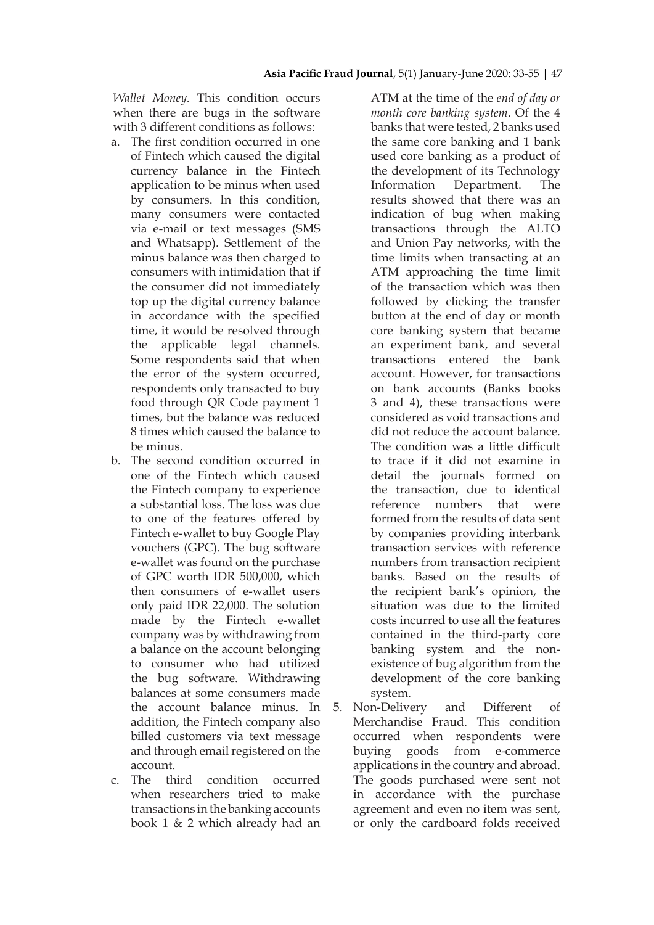*Wallet Money.* This condition occurs when there are bugs in the software with 3 different conditions as follows:

- a. The first condition occurred in one of Fintech which caused the digital currency balance in the Fintech application to be minus when used by consumers. In this condition, many consumers were contacted via e-mail or text messages (SMS and Whatsapp). Settlement of the minus balance was then charged to consumers with intimidation that if the consumer did not immediately top up the digital currency balance in accordance with the specified time, it would be resolved through the applicable legal channels. Some respondents said that when the error of the system occurred, respondents only transacted to buy food through QR Code payment 1 times, but the balance was reduced 8 times which caused the balance to be minus.
- b. The second condition occurred in one of the Fintech which caused the Fintech company to experience a substantial loss. The loss was due to one of the features offered by Fintech e-wallet to buy Google Play vouchers (GPC). The bug software e-wallet was found on the purchase of GPC worth IDR 500,000, which then consumers of e-wallet users only paid IDR 22,000. The solution made by the Fintech e-wallet company was by withdrawing from a balance on the account belonging to consumer who had utilized the bug software. Withdrawing balances at some consumers made the account balance minus. In addition, the Fintech company also billed customers via text message and through email registered on the account.
- c. The third condition occurred when researchers tried to make transactions in the banking accounts book 1 & 2 which already had an

ATM at the time of the *end of day or month core banking system*. Of the 4 banks that were tested, 2 banks used the same core banking and 1 bank used core banking as a product of the development of its Technology Information Department. The results showed that there was an indication of bug when making transactions through the ALTO and Union Pay networks, with the time limits when transacting at an ATM approaching the time limit of the transaction which was then followed by clicking the transfer button at the end of day or month core banking system that became an experiment bank, and several transactions entered the bank account. However, for transactions on bank accounts (Banks books 3 and 4), these transactions were considered as void transactions and did not reduce the account balance. The condition was a little difficult to trace if it did not examine in detail the journals formed on the transaction, due to identical reference numbers that were formed from the results of data sent by companies providing interbank transaction services with reference numbers from transaction recipient banks. Based on the results of the recipient bank's opinion, the situation was due to the limited costs incurred to use all the features contained in the third-party core banking system and the nonexistence of bug algorithm from the development of the core banking system.

5. Non-Delivery and Different of Merchandise Fraud. This condition occurred when respondents were buying goods from e-commerce applications in the country and abroad. The goods purchased were sent not in accordance with the purchase agreement and even no item was sent, or only the cardboard folds received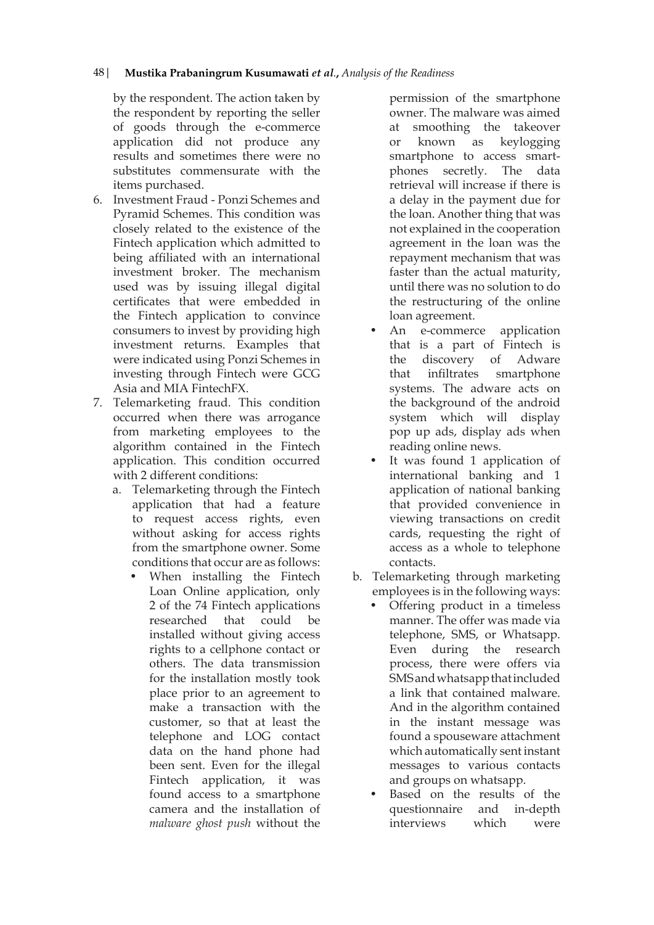by the respondent. The action taken by the respondent by reporting the seller of goods through the e-commerce application did not produce any results and sometimes there were no substitutes commensurate with the items purchased.

- 6. Investment Fraud Ponzi Schemes and Pyramid Schemes. This condition was closely related to the existence of the Fintech application which admitted to being affiliated with an international investment broker. The mechanism used was by issuing illegal digital certificates that were embedded in the Fintech application to convince consumers to invest by providing high investment returns. Examples that were indicated using Ponzi Schemes in investing through Fintech were GCG Asia and MIA FintechFX.
- 7. Telemarketing fraud. This condition occurred when there was arrogance from marketing employees to the algorithm contained in the Fintech application. This condition occurred with 2 different conditions:
	- a. Telemarketing through the Fintech application that had a feature to request access rights, even without asking for access rights from the smartphone owner. Some conditions that occur are as follows:
		- When installing the Fintech Loan Online application, only 2 of the 74 Fintech applications researched that could be installed without giving access rights to a cellphone contact or others. The data transmission for the installation mostly took place prior to an agreement to make a transaction with the customer, so that at least the telephone and LOG contact data on the hand phone had been sent. Even for the illegal Fintech application, it was found access to a smartphone camera and the installation of *malware ghost push* without the

permission of the smartphone owner. The malware was aimed at smoothing the takeover or known as keylogging smartphone to access smartphones secretly. The data retrieval will increase if there is a delay in the payment due for the loan. Another thing that was not explained in the cooperation agreement in the loan was the repayment mechanism that was faster than the actual maturity, until there was no solution to do the restructuring of the online loan agreement.

- An e-commerce application that is a part of Fintech is the discovery of Adware that infiltrates smartphone systems. The adware acts on the background of the android system which will display pop up ads, display ads when reading online news.
- It was found 1 application of international banking and 1 application of national banking that provided convenience in viewing transactions on credit cards, requesting the right of access as a whole to telephone contacts.
- b. Telemarketing through marketing employees is in the following ways:
	- Offering product in a timeless manner. The offer was made via telephone, SMS, or Whatsapp. Even during the research process, there were offers via SMS and whatsapp that included a link that contained malware. And in the algorithm contained in the instant message was found a spouseware attachment which automatically sent instant messages to various contacts and groups on whatsapp.
	- Based on the results of the questionnaire and in-depth interviews which were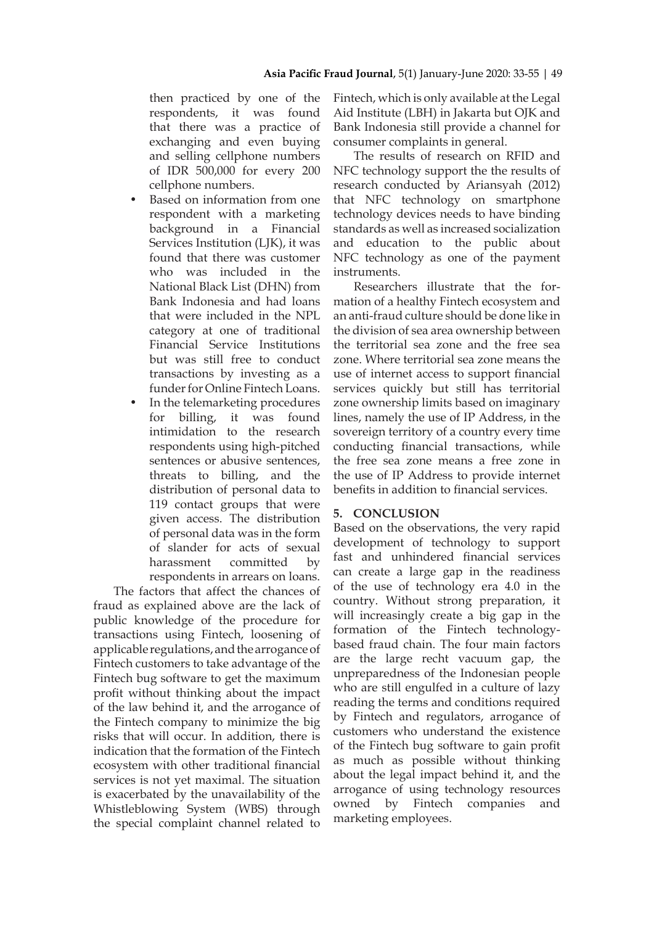then practiced by one of the respondents, it was found that there was a practice of exchanging and even buying and selling cellphone numbers of IDR 500,000 for every 200 cellphone numbers.

- Based on information from one respondent with a marketing background in a Financial Services Institution (LJK), it was found that there was customer who was included in the National Black List (DHN) from Bank Indonesia and had loans that were included in the NPL category at one of traditional Financial Service Institutions but was still free to conduct transactions by investing as a funder for Online Fintech Loans.
- In the telemarketing procedures for billing, it was found intimidation to the research respondents using high-pitched sentences or abusive sentences, threats to billing, and the distribution of personal data to 119 contact groups that were given access. The distribution of personal data was in the form of slander for acts of sexual harassment committed by respondents in arrears on loans.

The factors that affect the chances of fraud as explained above are the lack of public knowledge of the procedure for transactions using Fintech, loosening of applicable regulations, and the arrogance of Fintech customers to take advantage of the Fintech bug software to get the maximum profit without thinking about the impact of the law behind it, and the arrogance of the Fintech company to minimize the big risks that will occur. In addition, there is indication that the formation of the Fintech ecosystem with other traditional financial services is not yet maximal. The situation is exacerbated by the unavailability of the Whistleblowing System (WBS) through the special complaint channel related to

Fintech, which is only available at the Legal Aid Institute (LBH) in Jakarta but OJK and Bank Indonesia still provide a channel for consumer complaints in general.

The results of research on RFID and NFC technology support the the results of research conducted by Ariansyah (2012) that NFC technology on smartphone technology devices needs to have binding standards as well as increased socialization and education to the public about NFC technology as one of the payment instruments.

Researchers illustrate that the formation of a healthy Fintech ecosystem and an anti-fraud culture should be done like in the division of sea area ownership between the territorial sea zone and the free sea zone. Where territorial sea zone means the use of internet access to support financial services quickly but still has territorial zone ownership limits based on imaginary lines, namely the use of IP Address, in the sovereign territory of a country every time conducting financial transactions, while the free sea zone means a free zone in the use of IP Address to provide internet benefits in addition to financial services.

## **5. CONCLUSION**

Based on the observations, the very rapid development of technology to support fast and unhindered financial services can create a large gap in the readiness of the use of technology era 4.0 in the country. Without strong preparation, it will increasingly create a big gap in the formation of the Fintech technologybased fraud chain. The four main factors are the large recht vacuum gap, the unpreparedness of the Indonesian people who are still engulfed in a culture of lazy reading the terms and conditions required by Fintech and regulators, arrogance of customers who understand the existence of the Fintech bug software to gain profit as much as possible without thinking about the legal impact behind it, and the arrogance of using technology resources owned by Fintech companies and marketing employees.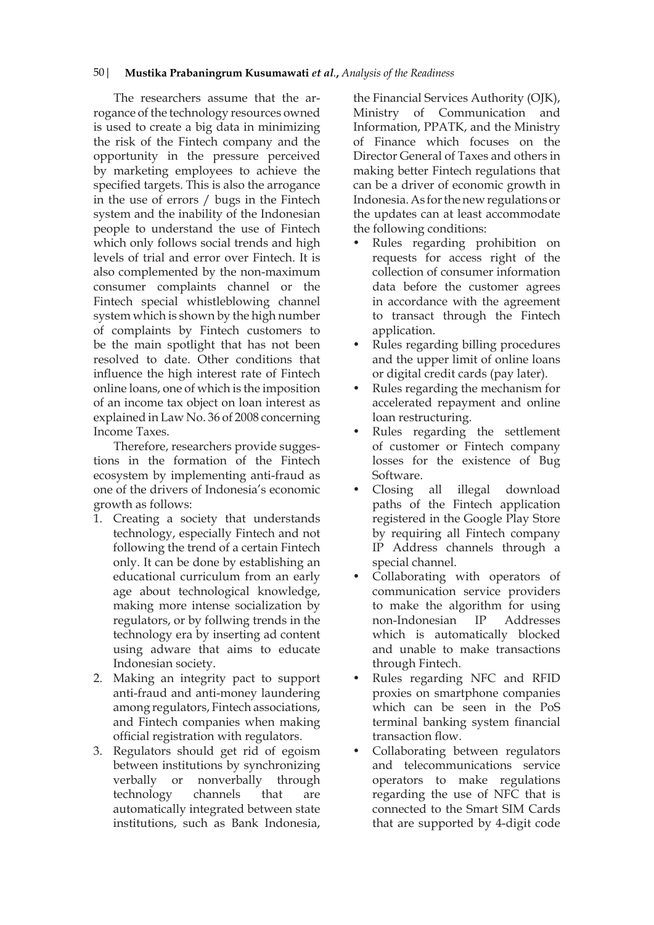The researchers assume that the arrogance of the technology resources owned is used to create a big data in minimizing the risk of the Fintech company and the opportunity in the pressure perceived by marketing employees to achieve the specified targets. This is also the arrogance in the use of errors / bugs in the Fintech system and the inability of the Indonesian people to understand the use of Fintech which only follows social trends and high levels of trial and error over Fintech. It is also complemented by the non-maximum consumer complaints channel or the Fintech special whistleblowing channel system which is shown by the high number of complaints by Fintech customers to be the main spotlight that has not been resolved to date. Other conditions that influence the high interest rate of Fintech online loans, one of which is the imposition of an income tax object on loan interest as explained in Law No. 36 of 2008 concerning Income Taxes.

Therefore, researchers provide suggestions in the formation of the Fintech ecosystem by implementing anti-fraud as one of the drivers of Indonesia's economic growth as follows:

- 1. Creating a society that understands technology, especially Fintech and not following the trend of a certain Fintech only. It can be done by establishing an educational curriculum from an early age about technological knowledge, making more intense socialization by regulators, or by follwing trends in the technology era by inserting ad content using adware that aims to educate Indonesian society.
- 2. Making an integrity pact to support anti-fraud and anti-money laundering among regulators, Fintech associations, and Fintech companies when making official registration with regulators.
- 3. Regulators should get rid of egoism between institutions by synchronizing verbally or nonverbally through technology channels that are automatically integrated between state institutions, such as Bank Indonesia,

the Financial Services Authority (OJK), Ministry of Communication and Information, PPATK, and the Ministry of Finance which focuses on the Director General of Taxes and others in making better Fintech regulations that can be a driver of economic growth in Indonesia. As for the new regulations or the updates can at least accommodate the following conditions:

- Rules regarding prohibition on requests for access right of the collection of consumer information data before the customer agrees in accordance with the agreement to transact through the Fintech application.
- Rules regarding billing procedures and the upper limit of online loans or digital credit cards (pay later).
- Rules regarding the mechanism for accelerated repayment and online loan restructuring.
- Rules regarding the settlement of customer or Fintech company losses for the existence of Bug Software.
- Closing all illegal download paths of the Fintech application registered in the Google Play Store by requiring all Fintech company IP Address channels through a special channel.
- Collaborating with operators of communication service providers to make the algorithm for using non-Indonesian IP Addresses which is automatically blocked and unable to make transactions through Fintech.
- Rules regarding NFC and RFID proxies on smartphone companies which can be seen in the PoS terminal banking system financial transaction flow.
- Collaborating between regulators and telecommunications service operators to make regulations regarding the use of NFC that is connected to the Smart SIM Cards that are supported by 4-digit code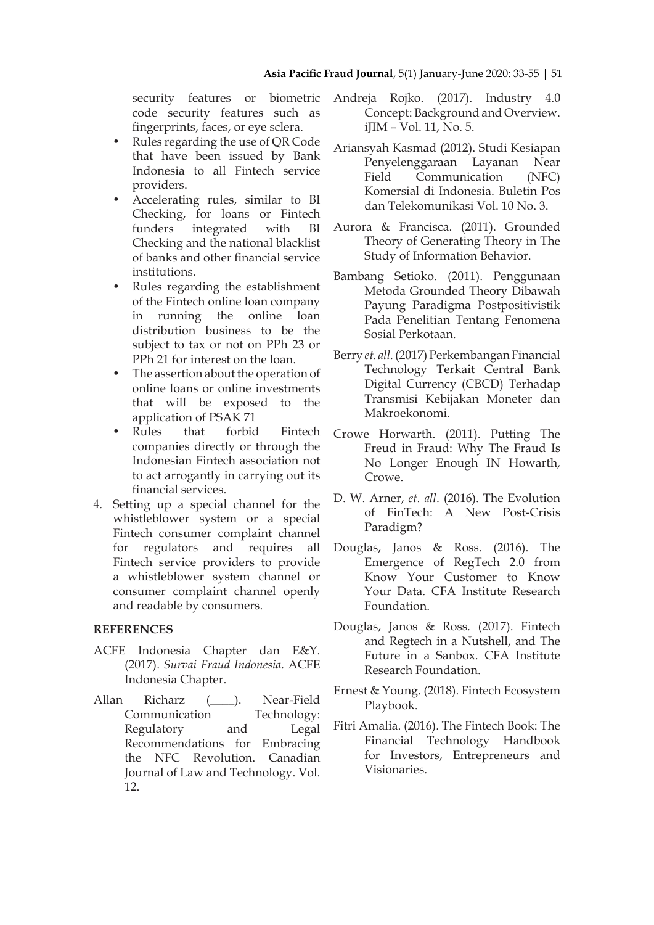security features or biometric code security features such as fingerprints, faces, or eye sclera.

- Rules regarding the use of QR Code that have been issued by Bank Indonesia to all Fintech service providers.
- Accelerating rules, similar to BI Checking, for loans or Fintech funders integrated with BI Checking and the national blacklist of banks and other financial service institutions.
- Rules regarding the establishment of the Fintech online loan company in running the online loan distribution business to be the subject to tax or not on PPh 23 or PPh 21 for interest on the loan.
- The assertion about the operation of online loans or online investments that will be exposed to the application of PSAK 71
- Rules that forbid Fintech companies directly or through the Indonesian Fintech association not to act arrogantly in carrying out its financial services.
- 4. Setting up a special channel for the whistleblower system or a special Fintech consumer complaint channel for regulators and requires all Fintech service providers to provide a whistleblower system channel or consumer complaint channel openly and readable by consumers.

## **REFERENCES**

- ACFE Indonesia Chapter dan E&Y. (2017). *Survai Fraud Indonesia*. ACFE Indonesia Chapter.
- Allan Richarz (\_\_\_\_). Near-Field Communication Technology: Regulatory and Legal Recommendations for Embracing the NFC Revolution. Canadian Journal of Law and Technology. Vol. 12.
- Andreja Rojko. (2017). Industry 4.0 Concept: Background and Overview. iJIM - Vol. 11, No. 5.
- Ariansyah Kasmad (2012). Studi Kesiapan Penyelenggaraan Layanan Near Field Communication (NFC) Komersial di Indonesia. Buletin Pos dan Telekomunikasi Vol. 10 No. 3.
- Aurora & Francisca. (2011). Grounded Theory of Generating Theory in The Study of Information Behavior.
- Bambang Setioko. (2011). Penggunaan Metoda Grounded Theory Dibawah Payung Paradigma Postpositivistik Pada Penelitian Tentang Fenomena Sosial Perkotaan.
- Berry *et. all.* (2017) Perkembangan Financial Technology Terkait Central Bank Digital Currency (CBCD) Terhadap Transmisi Kebijakan Moneter dan Makroekonomi.
- Crowe Horwarth. (2011). Putting The Freud in Fraud: Why The Fraud Is No Longer Enough IN Howarth, Crowe.
- D. W. Arner, *et. all*. (2016). The Evolution of FinTech: A New Post-Crisis Paradigm?
- Douglas, Janos & Ross. (2016). The Emergence of RegTech 2.0 from Know Your Customer to Know Your Data. CFA Institute Research Foundation.
- Douglas, Janos & Ross. (2017). Fintech and Regtech in a Nutshell, and The Future in a Sanbox. CFA Institute Research Foundation.
- Ernest & Young. (2018). Fintech Ecosystem Playbook.
- Fitri Amalia. (2016). The Fintech Book: The Financial Technology Handbook for Investors, Entrepreneurs and Visionaries.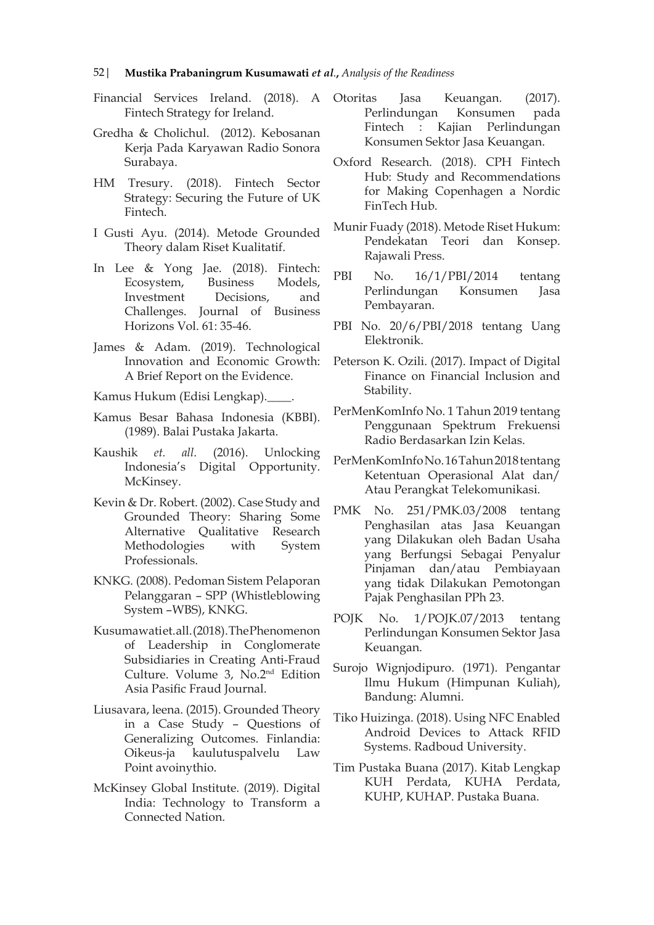- Financial Services Ireland. (2018). A Otoritas Fintech Strategy for Ireland.
- Gredha & Cholichul. (2012). Kebosanan Kerja Pada Karyawan Radio Sonora Surabaya.
- HM Tresury. (2018). Fintech Sector Strategy: Securing the Future of UK Fintech.
- I Gusti Ayu. (2014). Metode Grounded Theory dalam Riset Kualitatif.
- In Lee & Yong Jae. (2018). Fintech: Ecosystem, Business Models, Investment Decisions, and Challenges. Journal of Business Horizons Vol. 61: 35-46.
- James & Adam. (2019). Technological Innovation and Economic Growth: A Brief Report on the Evidence.
- Kamus Hukum (Edisi Lengkap).\_\_\_\_.
- Kamus Besar Bahasa Indonesia (KBBI). (1989). Balai Pustaka Jakarta.
- Kaushik *et. all.* (2016). Unlocking Indonesia's Digital Opportunity. McKinsey.
- Kevin & Dr. Robert. (2002). Case Study and Grounded Theory: Sharing Some Alternative Qualitative Research Methodologies with System Professionals.
- KNKG. (2008). Pedoman Sistem Pelaporan Pelanggaran – SPP (Whistleblowing System –WBS), KNKG.
- Kusumawatiet.all. (2018). The Phenomenon of Leadership in Conglomerate Subsidiaries in Creating Anti-Fraud Culture. Volume 3, No.2nd Edition Asia Pasific Fraud Journal.
- Liusavara, leena. (2015). Grounded Theory in a Case Study – Questions of Generalizing Outcomes. Finlandia: Oikeus-ja kaulutuspalvelu Law Point avoinythio.
- McKinsey Global Institute. (2019). Digital India: Technology to Transform a Connected Nation.
- Jasa Keuangan. (2017). Perlindungan Konsumen pada Fintech : Kajian Perlindungan Konsumen Sektor Jasa Keuangan.
- Oxford Research. (2018). CPH Fintech Hub: Study and Recommendations for Making Copenhagen a Nordic FinTech Hub.
- Munir Fuady (2018). Metode Riset Hukum: Pendekatan Teori dan Konsep. Rajawali Press.
- PBI No. 16/1/PBI/2014 tentang Perlindungan Konsumen Jasa Pembayaran.
- PBI No. 20/6/PBI/2018 tentang Uang Elektronik.
- Peterson K. Ozili. (2017). Impact of Digital Finance on Financial Inclusion and Stability.
- PerMenKomInfo No. 1 Tahun 2019 tentang Penggunaan Spektrum Frekuensi Radio Berdasarkan Izin Kelas.
- PerMenKomInfo No. 16 Tahun 2018 tentang Ketentuan Operasional Alat dan/ Atau Perangkat Telekomunikasi.
- PMK No. 251/PMK.03/2008 tentang Penghasilan atas Jasa Keuangan yang Dilakukan oleh Badan Usaha yang Berfungsi Sebagai Penyalur Pinjaman dan/atau Pembiayaan yang tidak Dilakukan Pemotongan Pajak Penghasilan PPh 23.
- POJK No. 1/POJK.07/2013 tentang Perlindungan Konsumen Sektor Jasa Keuangan.
- Surojo Wignjodipuro. (1971). Pengantar Ilmu Hukum (Himpunan Kuliah), Bandung: Alumni.
- Tiko Huizinga. (2018). Using NFC Enabled Android Devices to Attack RFID Systems. Radboud University.
- Tim Pustaka Buana (2017). Kitab Lengkap KUH Perdata, KUHA Perdata, KUHP, KUHAP. Pustaka Buana.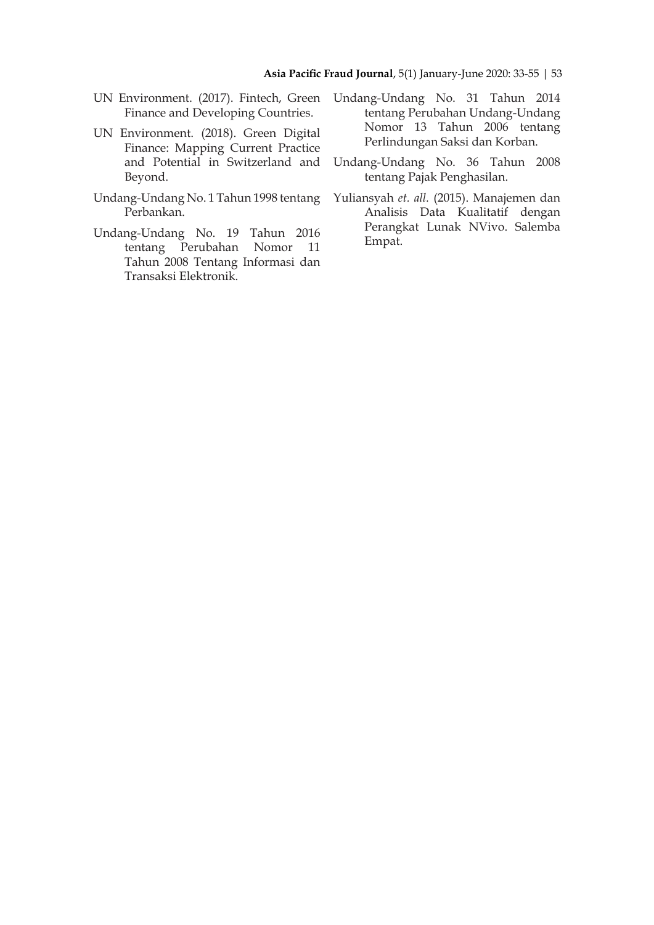- Finance and Developing Countries.
- UN Environment. (2018). Green Digital Finance: Mapping Current Practice and Potential in Switzerland and Beyond.
- Undang-Undang No. 1 Tahun 1998 tentang Perbankan.
- Undang-Undang No. 19 Tahun 2016 tentang Perubahan Nomor 11 Tahun 2008 Tentang Informasi dan Transaksi Elektronik.
- UN Environment. (2017). Fintech, Green Undang-Undang No. 31 Tahun 2014 tentang Perubahan Undang-Undang Nomor 13 Tahun 2006 tentang Perlindungan Saksi dan Korban.
	- Undang-Undang No. 36 Tahun 2008 tentang Pajak Penghasilan.
	- Yuliansyah *et. all.* (2015). Manajemen dan Analisis Data Kualitatif dengan Perangkat Lunak NVivo. Salemba Empat.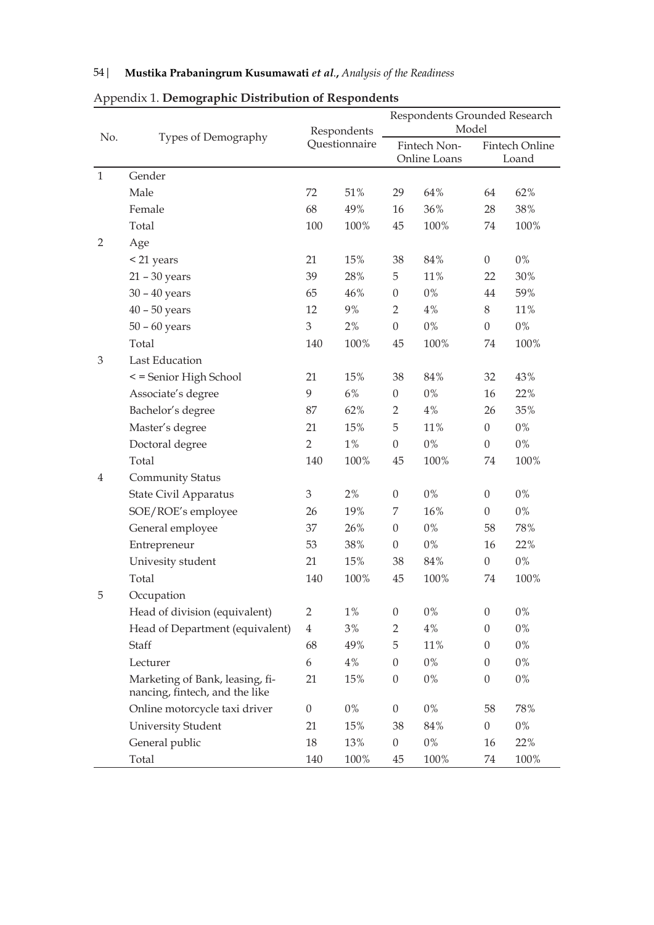|                |                                                                   | Respondents<br>Questionnaire |       | Respondents Grounded Research<br>Model |       |                                |       |  |
|----------------|-------------------------------------------------------------------|------------------------------|-------|----------------------------------------|-------|--------------------------------|-------|--|
| No.            | Types of Demography                                               |                              |       | Fintech Non-<br>Online Loans           |       | <b>Fintech Online</b><br>Loand |       |  |
| $\mathbf{1}$   | Gender                                                            |                              |       |                                        |       |                                |       |  |
|                | Male                                                              | 72                           | 51%   | 29                                     | 64%   | 64                             | 62%   |  |
|                | Female                                                            | 68                           | 49%   | 16                                     | 36%   | 28                             | 38%   |  |
|                | Total                                                             | 100                          | 100%  | 45                                     | 100%  | 74                             | 100%  |  |
| $\overline{2}$ | Age                                                               |                              |       |                                        |       |                                |       |  |
|                | < 21 years                                                        | 21                           | 15%   | 38                                     | 84%   | $\theta$                       | $0\%$ |  |
|                | $21 - 30$ years                                                   | 39                           | 28%   | 5                                      | 11%   | 22                             | 30%   |  |
|                | $30 - 40$ years                                                   | 65                           | 46%   | $\boldsymbol{0}$                       | $0\%$ | 44                             | 59%   |  |
|                | $40 - 50$ years                                                   | 12                           | 9%    | $\overline{2}$                         | 4%    | 8                              | 11%   |  |
|                | $50 - 60$ years                                                   | $\mathfrak{Z}$               | $2\%$ | $\boldsymbol{0}$                       | $0\%$ | $\boldsymbol{0}$               | $0\%$ |  |
|                | Total                                                             | 140                          | 100%  | 45                                     | 100%  | 74                             | 100%  |  |
| $\mathfrak{Z}$ | Last Education                                                    |                              |       |                                        |       |                                |       |  |
|                | < = Senior High School                                            | 21                           | 15%   | 38                                     | 84%   | 32                             | 43%   |  |
|                | Associate's degree                                                | $\boldsymbol{9}$             | $6\%$ | $\boldsymbol{0}$                       | $0\%$ | 16                             | 22%   |  |
|                | Bachelor's degree                                                 | 87                           | 62%   | 2                                      | 4%    | 26                             | 35%   |  |
|                | Master's degree                                                   | 21                           | 15%   | 5                                      | 11%   | $\boldsymbol{0}$               | $0\%$ |  |
|                | Doctoral degree                                                   | $\overline{2}$               | 1%    | $\boldsymbol{0}$                       | $0\%$ | $\overline{0}$                 | $0\%$ |  |
|                | Total                                                             | 140                          | 100%  | 45                                     | 100%  | 74                             | 100%  |  |
| $\overline{4}$ | <b>Community Status</b>                                           |                              |       |                                        |       |                                |       |  |
|                | State Civil Apparatus                                             | $\mathfrak{Z}$               | 2%    | 0                                      | $0\%$ | $\overline{0}$                 | $0\%$ |  |
|                | SOE/ROE's employee                                                | 26                           | 19%   | 7                                      | 16%   | $\boldsymbol{0}$               | $0\%$ |  |
|                | General employee                                                  | 37                           | 26%   | $\boldsymbol{0}$                       | $0\%$ | 58                             | 78%   |  |
|                | Entrepreneur                                                      | 53                           | 38%   | $\boldsymbol{0}$                       | $0\%$ | 16                             | 22%   |  |
|                | Univesity student                                                 | 21                           | 15%   | 38                                     | 84%   | $\boldsymbol{0}$               | $0\%$ |  |
|                | Total                                                             | 140                          | 100%  | 45                                     | 100%  | 74                             | 100%  |  |
| 5              | Occupation                                                        |                              |       |                                        |       |                                |       |  |
|                | Head of division (equivalent)                                     | $\overline{2}$               | $1\%$ | $\boldsymbol{0}$                       | $0\%$ | $\boldsymbol{0}$               | $0\%$ |  |
|                | Head of Department (equivalent)                                   | $\overline{4}$               | 3%    | $\overline{2}$                         | 4%    | $\boldsymbol{0}$               | $0\%$ |  |
|                | Staff                                                             | 68                           | 49%   | 5                                      | 11%   | $\boldsymbol{0}$               | $0\%$ |  |
|                | Lecturer                                                          | 6                            | $4\%$ | $\boldsymbol{0}$                       | $0\%$ | $\theta$                       | $0\%$ |  |
|                | Marketing of Bank, leasing, fi-<br>nancing, fintech, and the like | 21                           | 15%   | $\boldsymbol{0}$                       | $0\%$ | $\boldsymbol{0}$               | $0\%$ |  |
|                | Online motorcycle taxi driver                                     | $\boldsymbol{0}$             | $0\%$ | $\boldsymbol{0}$                       | $0\%$ | 58                             | 78%   |  |
|                | <b>University Student</b>                                         | 21                           | 15%   | 38                                     | 84%   | $\boldsymbol{0}$               | $0\%$ |  |
|                | General public                                                    | 18                           | 13%   | $\boldsymbol{0}$                       | $0\%$ | 16                             | 22%   |  |
|                | Total                                                             | 140                          | 100%  | 45                                     | 100%  | 74                             | 100%  |  |

# Appendix 1. **Demographic Distribution of Respondents**